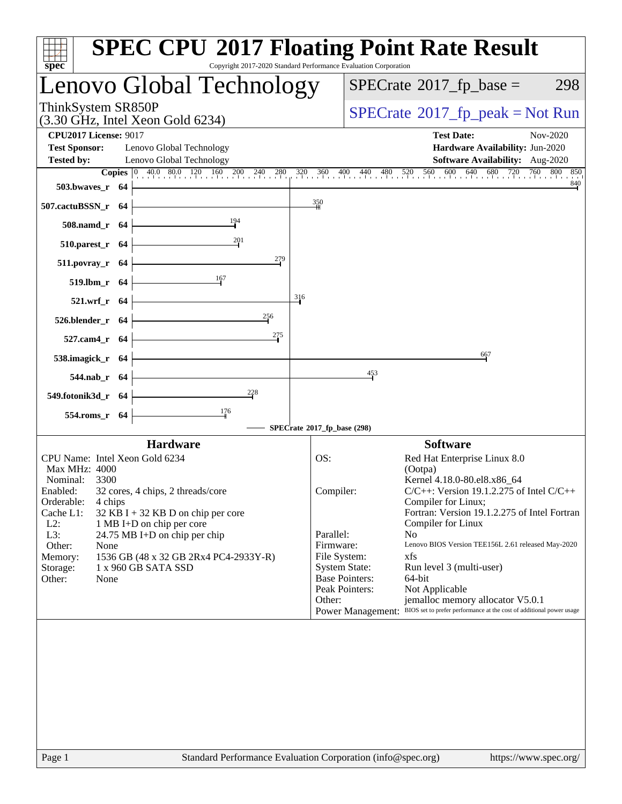| $spec^*$                                                                                                                                                                             | <b>SPEC CPU®2017 Floating Point Rate Result</b><br>Copyright 2017-2020 Standard Performance Evaluation Corporation                                                                                           |
|--------------------------------------------------------------------------------------------------------------------------------------------------------------------------------------|--------------------------------------------------------------------------------------------------------------------------------------------------------------------------------------------------------------|
| Lenovo Global Technology                                                                                                                                                             | $SPECrate^{\circ}2017$ _fp_base =<br>298                                                                                                                                                                     |
| ThinkSystem SR850P<br>$(3.30 \text{ GHz}, \text{Intel Xeon Gold } 6234)$                                                                                                             | $SPECrate^{\circ}2017$ [p_peak = Not Run                                                                                                                                                                     |
| <b>CPU2017 License: 9017</b><br><b>Test Sponsor:</b><br>Lenovo Global Technology<br><b>Tested by:</b><br>Lenovo Global Technology                                                    | <b>Test Date:</b><br>Nov-2020<br>Hardware Availability: Jun-2020<br>Software Availability: Aug-2020                                                                                                          |
| $503.bwaves_r$ 64                                                                                                                                                                    | <b>Copies</b> $\begin{bmatrix} 0 & 40.0 & 80.0 & 120 & 160 & 200 & 240 & 280 & 320 & 360 & 400 & 440 & 480 & 520 & 560 & 600 & 640 & 680 & 720 & 760 & 800 & 850 \end{bmatrix}$<br>840                       |
| 507.cactuBSSN_r 64<br>$\frac{194}{9}$<br>508.namd_r 64                                                                                                                               | 350                                                                                                                                                                                                          |
| 510.parest_r 64                                                                                                                                                                      |                                                                                                                                                                                                              |
| 279<br>$511.povray_r$ 64<br>519.lbm_r 64                                                                                                                                             |                                                                                                                                                                                                              |
| 521.wrf_r 64                                                                                                                                                                         | 316                                                                                                                                                                                                          |
| $\frac{256}{5}$<br>$526.blender_r 64$<br>275<br>527.cam4_r $64$                                                                                                                      |                                                                                                                                                                                                              |
| 538.imagick_r $64$                                                                                                                                                                   | 667                                                                                                                                                                                                          |
| 544.nab_r 64<br>$\frac{228}{4}$                                                                                                                                                      | 453                                                                                                                                                                                                          |
| 549.fotonik3d_r 64<br>$\frac{176}{ }$<br>554.roms_r 64                                                                                                                               |                                                                                                                                                                                                              |
|                                                                                                                                                                                      | SPECrate®2017_fp_base (298)                                                                                                                                                                                  |
| <b>Hardware</b><br>CPU Name: Intel Xeon Gold 6234<br>Max MHz: 4000                                                                                                                   | <b>Software</b><br>OS:<br>Red Hat Enterprise Linux 8.0<br>(Ootpa)                                                                                                                                            |
| Nominal:<br>3300<br>Enabled:<br>32 cores, 4 chips, 2 threads/core<br>Orderable:<br>4 chips<br>Cache L1:<br>32 KB I + 32 KB D on chip per core<br>$L2$ :<br>1 MB I+D on chip per core | Kernel 4.18.0-80.el8.x86_64<br>$C/C++$ : Version 19.1.2.275 of Intel $C/C++$<br>Compiler:<br>Compiler for Linux;<br>Fortran: Version 19.1.2.275 of Intel Fortran<br>Compiler for Linux                       |
| L3:<br>24.75 MB I+D on chip per chip<br>Other:<br>None<br>1536 GB (48 x 32 GB 2Rx4 PC4-2933Y-R)<br>Memory:<br>1 x 960 GB SATA SSD<br>Storage:<br>Other:<br>None                      | Parallel:<br>N <sub>o</sub><br>Firmware:<br>Lenovo BIOS Version TEE156L 2.61 released May-2020<br>File System:<br>xfs<br><b>System State:</b><br>Run level 3 (multi-user)<br><b>Base Pointers:</b><br>64-bit |
|                                                                                                                                                                                      | Peak Pointers:<br>Not Applicable<br>Other:<br>jemalloc memory allocator V5.0.1<br>Power Management: BIOS set to prefer performance at the cost of additional power usage                                     |
|                                                                                                                                                                                      |                                                                                                                                                                                                              |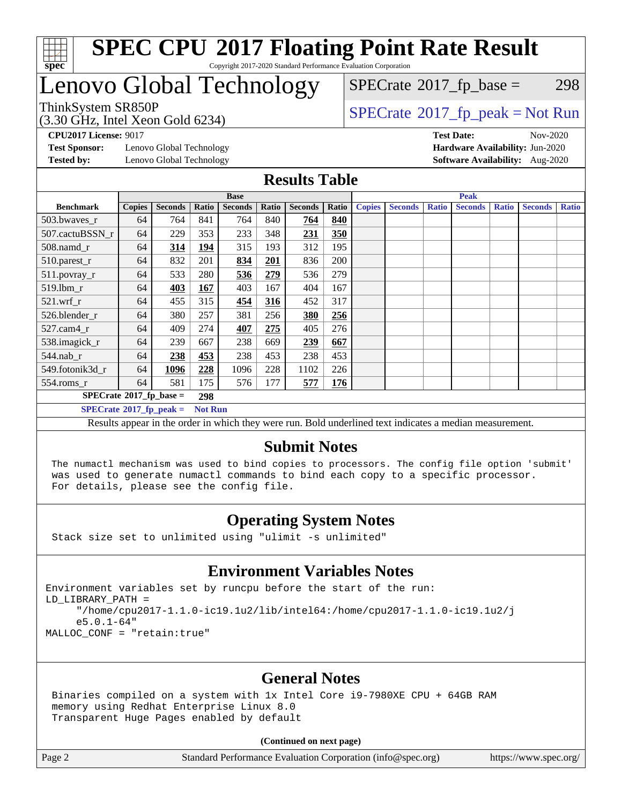

### Lenovo Global Technology

(3.30 GHz, Intel Xeon Gold 6234)

ThinkSystem SR850P<br>  $\begin{array}{c}\n\text{72.30 GHz} \quad \text{Total} \quad \text{Spectr} \\
\text{SPECTate} \quad \text{2017\_fp\_peak} = \text{Not Run} \\
\end{array}$ 

 $SPECTate@2017_fp\_base = 298$ 

**[Test Sponsor:](http://www.spec.org/auto/cpu2017/Docs/result-fields.html#TestSponsor)** Lenovo Global Technology **[Hardware Availability:](http://www.spec.org/auto/cpu2017/Docs/result-fields.html#HardwareAvailability)** Jun-2020

**[CPU2017 License:](http://www.spec.org/auto/cpu2017/Docs/result-fields.html#CPU2017License)** 9017 **[Test Date:](http://www.spec.org/auto/cpu2017/Docs/result-fields.html#TestDate)** Nov-2020 **[Tested by:](http://www.spec.org/auto/cpu2017/Docs/result-fields.html#Testedby)** Lenovo Global Technology **[Software Availability:](http://www.spec.org/auto/cpu2017/Docs/result-fields.html#SoftwareAvailability)** Aug-2020

#### **[Results Table](http://www.spec.org/auto/cpu2017/Docs/result-fields.html#ResultsTable)**

| <b>Base</b>                        |               |                |                |                | <b>Peak</b> |                |       |               |                |              |                |              |                |              |
|------------------------------------|---------------|----------------|----------------|----------------|-------------|----------------|-------|---------------|----------------|--------------|----------------|--------------|----------------|--------------|
| <b>Benchmark</b>                   | <b>Copies</b> | <b>Seconds</b> | Ratio          | <b>Seconds</b> | Ratio       | <b>Seconds</b> | Ratio | <b>Copies</b> | <b>Seconds</b> | <b>Ratio</b> | <b>Seconds</b> | <b>Ratio</b> | <b>Seconds</b> | <b>Ratio</b> |
| 503.bwaves_r                       | 64            | 764            | 841            | 764            | 840         | 764            | 840   |               |                |              |                |              |                |              |
| 507.cactuBSSN r                    | 64            | 229            | 353            | 233            | 348         | 231            | 350   |               |                |              |                |              |                |              |
| $508$ .namd $r$                    | 64            | 314            | 194            | 315            | 193         | 312            | 195   |               |                |              |                |              |                |              |
| 510.parest_r                       | 64            | 832            | 201            | 834            | 201         | 836            | 200   |               |                |              |                |              |                |              |
| 511.povray_r                       | 64            | 533            | 280            | 536            | 279         | 536            | 279   |               |                |              |                |              |                |              |
| 519.lbm r                          | 64            | 403            | 167            | 403            | 167         | 404            | 167   |               |                |              |                |              |                |              |
| $521$ .wrf r                       | 64            | 455            | 315            | 454            | 316         | 452            | 317   |               |                |              |                |              |                |              |
| 526.blender r                      | 64            | 380            | 257            | 381            | 256         | 380            | 256   |               |                |              |                |              |                |              |
| $527.cam4_r$                       | 64            | 409            | 274            | <b>407</b>     | 275         | 405            | 276   |               |                |              |                |              |                |              |
| 538.imagick_r                      | 64            | 239            | 667            | 238            | 669         | 239            | 667   |               |                |              |                |              |                |              |
| 544.nab r                          | 64            | 238            | 453            | 238            | 453         | 238            | 453   |               |                |              |                |              |                |              |
| 549.fotonik3d r                    | 64            | 1096           | 228            | 1096           | 228         | 1102           | 226   |               |                |              |                |              |                |              |
| $554$ .roms_r                      | 64            | 581            | 175            | 576            | 177         | 577            | 176   |               |                |              |                |              |                |              |
| $SPECrate^{\otimes}2017$ fp base = |               |                | 298            |                |             |                |       |               |                |              |                |              |                |              |
| $SPECrate^{\circ}2017$ fp peak =   |               |                | <b>Not Run</b> |                |             |                |       |               |                |              |                |              |                |              |

Results appear in the [order in which they were run](http://www.spec.org/auto/cpu2017/Docs/result-fields.html#RunOrder). Bold underlined text [indicates a median measurement](http://www.spec.org/auto/cpu2017/Docs/result-fields.html#Median).

### **[Submit Notes](http://www.spec.org/auto/cpu2017/Docs/result-fields.html#SubmitNotes)**

 The numactl mechanism was used to bind copies to processors. The config file option 'submit' was used to generate numactl commands to bind each copy to a specific processor. For details, please see the config file.

### **[Operating System Notes](http://www.spec.org/auto/cpu2017/Docs/result-fields.html#OperatingSystemNotes)**

Stack size set to unlimited using "ulimit -s unlimited"

#### **[Environment Variables Notes](http://www.spec.org/auto/cpu2017/Docs/result-fields.html#EnvironmentVariablesNotes)**

Environment variables set by runcpu before the start of the run: LD\_LIBRARY\_PATH = "/home/cpu2017-1.1.0-ic19.1u2/lib/intel64:/home/cpu2017-1.1.0-ic19.1u2/j e5.0.1-64" MALLOC\_CONF = "retain:true"

### **[General Notes](http://www.spec.org/auto/cpu2017/Docs/result-fields.html#GeneralNotes)**

 Binaries compiled on a system with 1x Intel Core i9-7980XE CPU + 64GB RAM memory using Redhat Enterprise Linux 8.0 Transparent Huge Pages enabled by default

#### **(Continued on next page)**

Page 2 Standard Performance Evaluation Corporation [\(info@spec.org\)](mailto:info@spec.org) <https://www.spec.org/>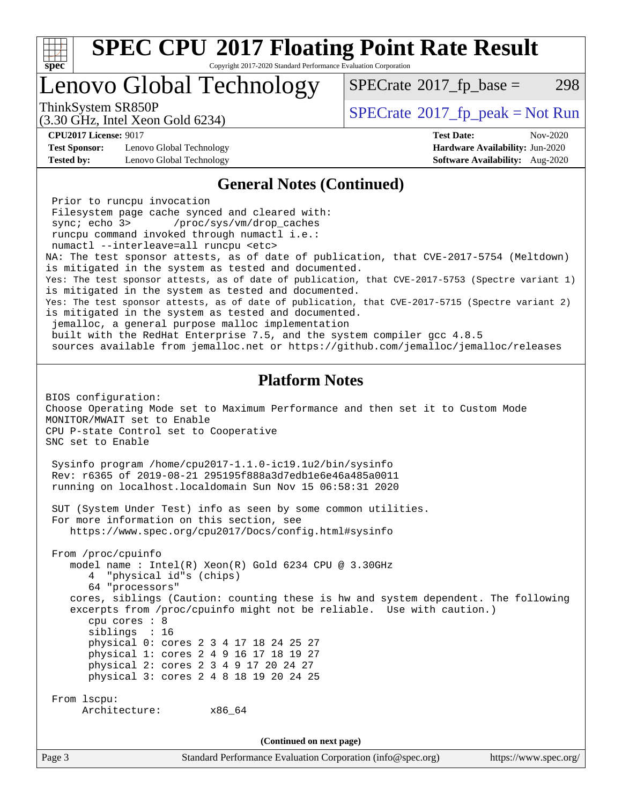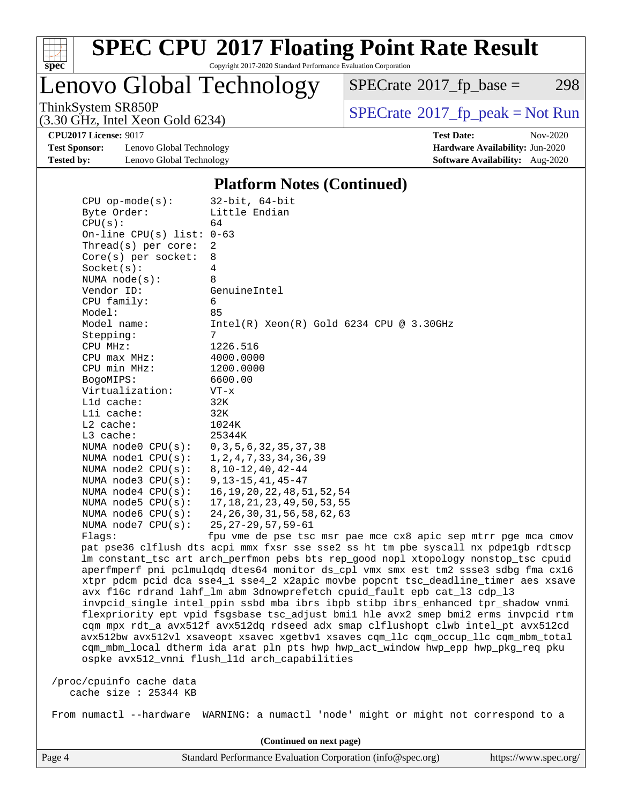

Copyright 2017-2020 Standard Performance Evaluation Corporation

Lenovo Global Technology

 $SPECTate@2017_fp\_base = 298$ 

(3.30 GHz, Intel Xeon Gold 6234)

 $SPECTate@2017_fp\_peak = Not Run$ 

**[Test Sponsor:](http://www.spec.org/auto/cpu2017/Docs/result-fields.html#TestSponsor)** Lenovo Global Technology **[Hardware Availability:](http://www.spec.org/auto/cpu2017/Docs/result-fields.html#HardwareAvailability)** Jun-2020 **[Tested by:](http://www.spec.org/auto/cpu2017/Docs/result-fields.html#Testedby)** Lenovo Global Technology **[Software Availability:](http://www.spec.org/auto/cpu2017/Docs/result-fields.html#SoftwareAvailability)** Aug-2020

**[CPU2017 License:](http://www.spec.org/auto/cpu2017/Docs/result-fields.html#CPU2017License)** 9017 **[Test Date:](http://www.spec.org/auto/cpu2017/Docs/result-fields.html#TestDate)** Nov-2020

#### **[Platform Notes \(Continued\)](http://www.spec.org/auto/cpu2017/Docs/result-fields.html#PlatformNotes)**

| $CPU$ op-mode(s):           | $32$ -bit, $64$ -bit                                                                 |
|-----------------------------|--------------------------------------------------------------------------------------|
| Byte Order:                 | Little Endian                                                                        |
| CPU(s):                     | 64                                                                                   |
| On-line CPU(s) list: $0-63$ |                                                                                      |
| Thread(s) per core:         | 2                                                                                    |
| Core(s) per socket:         | 8                                                                                    |
| Socket(s):                  | 4                                                                                    |
| NUMA $node(s)$ :            | 8                                                                                    |
| Vendor ID:                  | GenuineIntel                                                                         |
| CPU family:                 | 6                                                                                    |
| Model:                      | 85                                                                                   |
| Model name:                 | $Intel(R)$ Xeon $(R)$ Gold 6234 CPU @ 3.30GHz                                        |
| Stepping:                   | 7                                                                                    |
| CPU MHz:                    | 1226.516                                                                             |
| $CPU$ max $MHz$ :           | 4000.0000                                                                            |
| CPU min MHz:                | 1200.0000                                                                            |
| BogoMIPS:                   | 6600.00                                                                              |
| Virtualization:             | $VT - x$                                                                             |
| Lld cache:                  | 32K                                                                                  |
| Lli cache:                  | 32K                                                                                  |
| L2 cache:                   | 1024K                                                                                |
| L3 cache:                   | 25344K                                                                               |
| NUMA node0 CPU(s):          | 0, 3, 5, 6, 32, 35, 37, 38                                                           |
| NUMA nodel CPU(s):          | 1, 2, 4, 7, 33, 34, 36, 39                                                           |
| NUMA $node2$ $CPU(s)$ :     | $8, 10 - 12, 40, 42 - 44$                                                            |
| NUMA node3 CPU(s):          | $9, 13 - 15, 41, 45 - 47$                                                            |
| NUMA $node4$ CPU $(s)$ :    | 16, 19, 20, 22, 48, 51, 52, 54                                                       |
| NUMA node5 $CPU(s):$        | 17, 18, 21, 23, 49, 50, 53, 55                                                       |
| NUMA node6 CPU(s):          | 24, 26, 30, 31, 56, 58, 62, 63                                                       |
| NUMA node7 CPU(s):          | $25, 27 - 29, 57, 59 - 61$                                                           |
| Flaqs:                      | fpu vme de pse tsc msr pae mce cx8 apic sep mtrr pge mca cmov                        |
|                             | pat pse36 clflush dts acpi mmx fxsr sse sse2 ss ht tm pbe syscall nx pdpelgb rdtscp  |
|                             | lm constant_tsc art arch_perfmon pebs bts rep_good nopl xtopology nonstop_tsc cpuid  |
|                             | aperfmperf pni pclmulqdq dtes64 monitor ds_cpl vmx smx est tm2 ssse3 sdbg fma cx16   |
|                             | xtpr pdcm pcid dca sse4_1 sse4_2 x2apic movbe popcnt tsc_deadline_timer aes xsave    |
|                             | avx f16c rdrand lahf_lm abm 3dnowprefetch cpuid_fault epb cat_13 cdp_13              |
|                             | invpcid_single intel_ppin ssbd mba ibrs ibpb stibp ibrs_enhanced tpr_shadow vnmi     |
|                             | flexpriority ept vpid fsgsbase tsc_adjust bmil hle avx2 smep bmi2 erms invpcid rtm   |
|                             | cqm mpx rdt_a avx512f avx512dq rdseed adx smap clflushopt clwb intel_pt avx512cd     |
|                             | avx512bw avx512vl xsaveopt xsavec xgetbvl xsaves cqm_llc cqm_occup_llc cqm_mbm_total |
|                             | cqm_mbm_local dtherm ida arat pln pts hwp hwp_act_window hwp_epp hwp_pkg_req pku     |
|                             | ospke avx512_vnni flush_11d arch_capabilities                                        |

 /proc/cpuinfo cache data cache size : 25344 KB

From numactl --hardware WARNING: a numactl 'node' might or might not correspond to a

**(Continued on next page)**

Page 4 Standard Performance Evaluation Corporation [\(info@spec.org\)](mailto:info@spec.org) <https://www.spec.org/>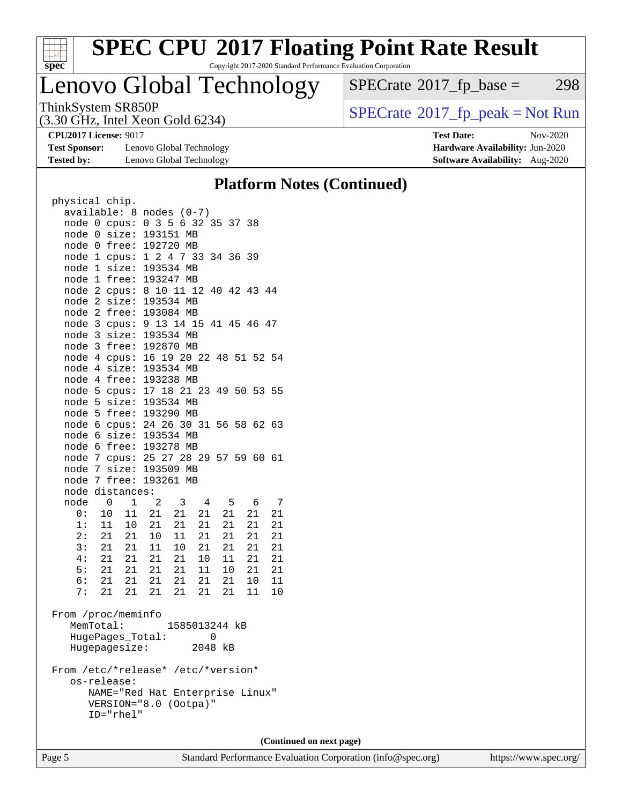

Copyright 2017-2020 Standard Performance Evaluation Corporation

## Lenovo Global Technology

ThinkSystem SR850P<br>  $(3.30 \text{ GHz})$  Intel Yeon Gold 6234)<br>  $\boxed{\text{SPECrate}^{\circ}2017\_fp\_peak = Not Run}$  $\boxed{\text{SPECrate}^{\circ}2017\_fp\_peak = Not Run}$  $\boxed{\text{SPECrate}^{\circ}2017\_fp\_peak = Not Run}$  $SPECTate@2017_fp\_base = 298$ 

(3.30 GHz, Intel Xeon Gold 6234)

**[Test Sponsor:](http://www.spec.org/auto/cpu2017/Docs/result-fields.html#TestSponsor)** Lenovo Global Technology **[Hardware Availability:](http://www.spec.org/auto/cpu2017/Docs/result-fields.html#HardwareAvailability)** Jun-2020

**[CPU2017 License:](http://www.spec.org/auto/cpu2017/Docs/result-fields.html#CPU2017License)** 9017 **[Test Date:](http://www.spec.org/auto/cpu2017/Docs/result-fields.html#TestDate)** Nov-2020

**[Tested by:](http://www.spec.org/auto/cpu2017/Docs/result-fields.html#Testedby)** Lenovo Global Technology **[Software Availability:](http://www.spec.org/auto/cpu2017/Docs/result-fields.html#SoftwareAvailability)** Aug-2020 **[Platform Notes \(Continued\)](http://www.spec.org/auto/cpu2017/Docs/result-fields.html#PlatformNotes)**

| physical chip.                     |                  |       |                 |    |    |                                  |    |    |
|------------------------------------|------------------|-------|-----------------|----|----|----------------------------------|----|----|
| available: 8 nodes (0-7)           |                  |       |                 |    |    |                                  |    |    |
|                                    |                  |       |                 |    |    | node 0 cpus: 0 3 5 6 32 35 37 38 |    |    |
| node                               | $\overline{0}$   | size: | 193151 MB       |    |    |                                  |    |    |
| node                               | 0                |       | free: 192720 MB |    |    |                                  |    |    |
| node 1                             |                  | cpus: |                 |    |    | 1 2 4 7 33 34 36 39              |    |    |
| node 1                             |                  | size: | 193534 MB       |    |    |                                  |    |    |
| node                               | $\mathbf 1$      | free: | 193247 MB       |    |    |                                  |    |    |
| node                               | $\overline{2}$   |       |                 |    |    | cpus: 8 10 11 12 40 42 43 44     |    |    |
| node 2                             |                  | size: | 193534 MB       |    |    |                                  |    |    |
| node 2                             |                  | free: | 193084 MB       |    |    |                                  |    |    |
| node                               | 3                | cpus: |                 |    |    | 9 13 14 15 41 45 46 47           |    |    |
| node                               | 3                | size: | 193534 MB       |    |    |                                  |    |    |
| node                               | $\mathsf{3}$     | free: | 192870 MB       |    |    |                                  |    |    |
| node 4                             |                  |       |                 |    |    | cpus: 16 19 20 22 48 51 52 54    |    |    |
| node 4                             |                  | size: | 193534 MB       |    |    |                                  |    |    |
| node 4                             |                  |       | free: 193238 MB |    |    |                                  |    |    |
| node                               | 5                |       |                 |    |    | cpus: 17 18 21 23 49 50 53 55    |    |    |
| node                               | 5                | size: | 193534 MB       |    |    |                                  |    |    |
| node                               | 5                |       | free: 193290 MB |    |    |                                  |    |    |
| node                               | 6<br>6           | size: | 193534 MB       |    |    | cpus: 24 26 30 31 56 58 62 63    |    |    |
| node<br>node                       | 6                | free: | 193278 MB       |    |    |                                  |    |    |
| node                               | 7                |       |                 |    |    | cpus: 25 27 28 29 57 59 60 61    |    |    |
| node                               | 7                |       | size: 193509 MB |    |    |                                  |    |    |
| node                               | 7                |       | free: 193261 MB |    |    |                                  |    |    |
| node distances:                    |                  |       |                 |    |    |                                  |    |    |
| node                               | 0                | 1     | $\overline{2}$  | 3  | 4  | 5                                | 6  | 7  |
| 0 :                                | 10               | 11    | 21              | 21 | 21 | 21                               | 21 | 21 |
| 1:                                 | 11               | 10    | 21              | 21 | 21 | 21                               | 21 | 21 |
| 2:                                 | $21$             | 21    | 10              | 11 | 21 | 21                               | 21 | 21 |
|                                    | 3: 21 21         |       | 11              | 10 | 21 | 21                               | 21 | 21 |
| 4:                                 | 21               | 21    | 21              | 21 | 10 | 11                               | 21 | 21 |
| 5:                                 | 21               | 21    | 21              | 21 | 11 | 10                               | 21 | 21 |
| 6:                                 | 21 21            |       | 21              | 21 | 21 | 21                               | 10 | 11 |
| 7:                                 | 21               | 21    | 21              | 21 | 21 | 21                               | 11 | 10 |
| From /proc/meminfo                 |                  |       |                 |    |    |                                  |    |    |
|                                    | MemTotal:        |       |                 |    |    | 1585013244 kB                    |    |    |
|                                    | HugePages_Total: |       |                 |    |    | 0                                |    |    |
|                                    | Hugepagesize:    |       |                 |    |    | 2048 kB                          |    |    |
| From /etc/*release* /etc/*version* |                  |       |                 |    |    |                                  |    |    |

| os-release:                     |  |
|---------------------------------|--|
| NAME="Red Hat Enterprise Linux" |  |
| VERSION="8.0 (Ootpa)"           |  |
| $ID = "rhe]$ "                  |  |

**(Continued on next page)**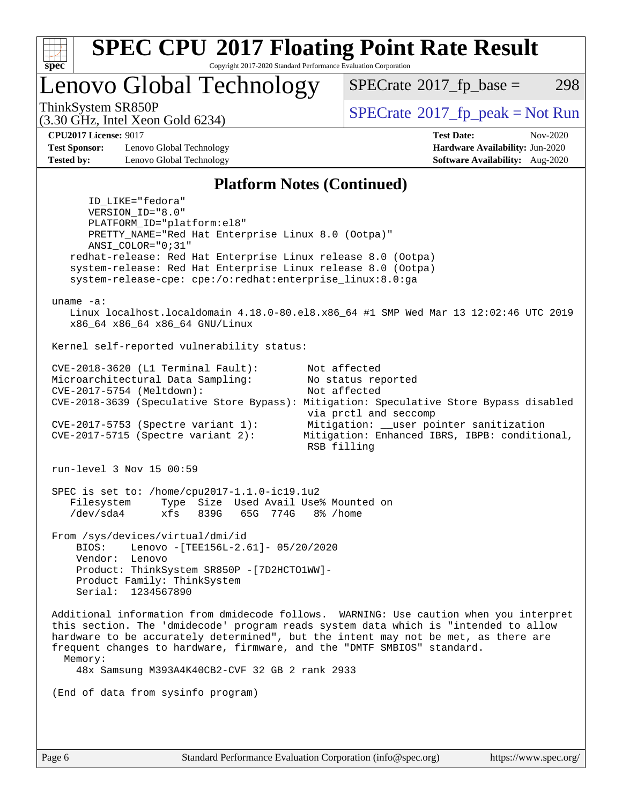

Copyright 2017-2020 Standard Performance Evaluation Corporation

Lenovo Global Technology

 $SPECTate@2017_fp\_base = 298$ 

(3.30 GHz, Intel Xeon Gold 6234)

ThinkSystem SR850P<br>  $\begin{array}{c}\n\text{SPECTI} \text{.} \text{I} \text{.} \text{SVD} \\
\text{SPECTI} \text{.} \text{I} \text{.} \text{SVD} \\
\text{SPECTI} \text{.} \text{I} \text{.} \text{I} \text{.} \text{SVD} \\
\text{SPECTI} \text{.} \text{I} \text{.} \text{I} \text{.} \text{I} \text{.} \text{I} \text{.} \text{I} \text{.} \text{I} \text{.} \text{I} \text{.} \text{I} \text{.} \text{$ 

**[CPU2017 License:](http://www.spec.org/auto/cpu2017/Docs/result-fields.html#CPU2017License)** 9017 **[Test Date:](http://www.spec.org/auto/cpu2017/Docs/result-fields.html#TestDate)** Nov-2020

**[Test Sponsor:](http://www.spec.org/auto/cpu2017/Docs/result-fields.html#TestSponsor)** Lenovo Global Technology **[Hardware Availability:](http://www.spec.org/auto/cpu2017/Docs/result-fields.html#HardwareAvailability)** Jun-2020 **[Tested by:](http://www.spec.org/auto/cpu2017/Docs/result-fields.html#Testedby)** Lenovo Global Technology **[Software Availability:](http://www.spec.org/auto/cpu2017/Docs/result-fields.html#SoftwareAvailability)** Aug-2020

#### **[Platform Notes \(Continued\)](http://www.spec.org/auto/cpu2017/Docs/result-fields.html#PlatformNotes)**

 ID\_LIKE="fedora" VERSION\_ID="8.0" PLATFORM\_ID="platform:el8" PRETTY\_NAME="Red Hat Enterprise Linux 8.0 (Ootpa)" ANSI\_COLOR="0;31" redhat-release: Red Hat Enterprise Linux release 8.0 (Ootpa) system-release: Red Hat Enterprise Linux release 8.0 (Ootpa) system-release-cpe: cpe:/o:redhat:enterprise\_linux:8.0:ga uname -a: Linux localhost.localdomain 4.18.0-80.el8.x86\_64 #1 SMP Wed Mar 13 12:02:46 UTC 2019 x86\_64 x86\_64 x86\_64 GNU/Linux Kernel self-reported vulnerability status: CVE-2018-3620 (L1 Terminal Fault): Not affected Microarchitectural Data Sampling: No status reported CVE-2017-5754 (Meltdown): Not affected CVE-2018-3639 (Speculative Store Bypass): Mitigation: Speculative Store Bypass disabled via prctl and seccomp CVE-2017-5753 (Spectre variant 1): Mitigation: \_\_user pointer sanitization CVE-2017-5715 (Spectre variant 2): Mitigation: Enhanced IBRS, IBPB: conditional, RSB filling run-level 3 Nov 15 00:59 SPEC is set to: /home/cpu2017-1.1.0-ic19.1u2<br>Filesystem Type Size Used Avail Use Type Size Used Avail Use% Mounted on /dev/sda4 xfs 839G 65G 774G 8% /home From /sys/devices/virtual/dmi/id BIOS: Lenovo -[TEE156L-2.61]- 05/20/2020 Vendor: Lenovo Product: ThinkSystem SR850P -[7D2HCTO1WW]- Product Family: ThinkSystem Serial: 1234567890 Additional information from dmidecode follows. WARNING: Use caution when you interpret this section. The 'dmidecode' program reads system data which is "intended to allow hardware to be accurately determined", but the intent may not be met, as there are frequent changes to hardware, firmware, and the "DMTF SMBIOS" standard. Memory: 48x Samsung M393A4K40CB2-CVF 32 GB 2 rank 2933 (End of data from sysinfo program)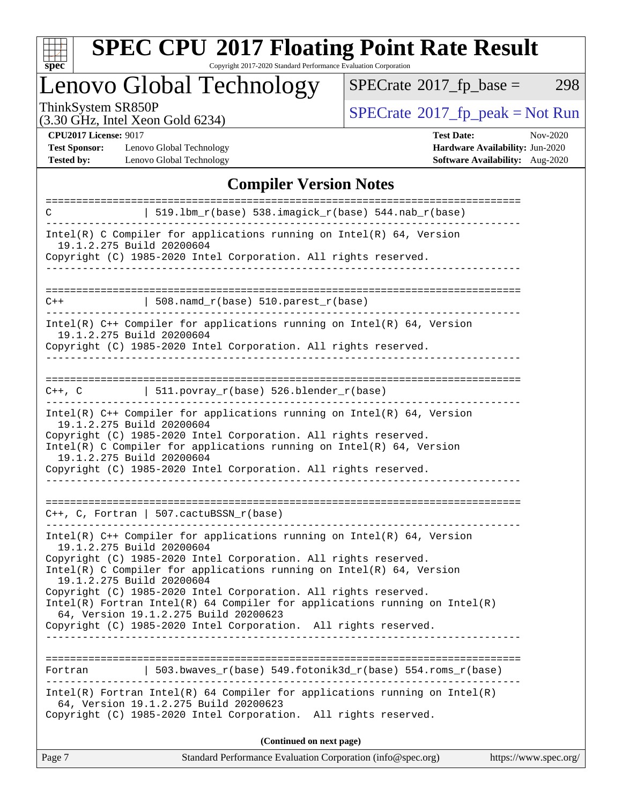

Copyright 2017-2020 Standard Performance Evaluation Corporation

Lenovo Global Technology

 $SPECrate@2017_fp\_base = 298$  $SPECrate@2017_fp\_base = 298$ 

(3.30 GHz, Intel Xeon Gold 6234)

ThinkSystem SR850P<br>  $(3.30 \text{ GHz})$  Intel Yeon Gold 6234)<br>  $\begin{array}{c} \boxed{\text{SPECrate}^{\circ}2017\_fp\_peak = Not Run} \end{array}$  $\begin{array}{c} \boxed{\text{SPECrate}^{\circ}2017\_fp\_peak = Not Run} \end{array}$  $\begin{array}{c} \boxed{\text{SPECrate}^{\circ}2017\_fp\_peak = Not Run} \end{array}$ 

**[CPU2017 License:](http://www.spec.org/auto/cpu2017/Docs/result-fields.html#CPU2017License)** 9017

[Test Sponsor:](http://www.spec.org/auto/cpu2017/Docs/result-fields.html#TestSponsor) Lenovo Global Technology **[Tested by:](http://www.spec.org/auto/cpu2017/Docs/result-fields.html#Testedby)** Lenovo Global Technology

| <b>Test Date:</b>                      | Nov-2020 |
|----------------------------------------|----------|
| <b>Hardware Availability: Jun-2020</b> |          |
| Software Availability: Aug-2020        |          |

### **[Compiler Version Notes](http://www.spec.org/auto/cpu2017/Docs/result-fields.html#CompilerVersionNotes)**

| $519.1bm_r(base) 538.imagick_r(base) 544.nab_r(base)$<br>C<br>Intel(R) C Compiler for applications running on $Intel(R) 64$ , Version<br>19.1.2.275 Build 20200604<br>Copyright (C) 1985-2020 Intel Corporation. All rights reserved.               |
|-----------------------------------------------------------------------------------------------------------------------------------------------------------------------------------------------------------------------------------------------------|
|                                                                                                                                                                                                                                                     |
|                                                                                                                                                                                                                                                     |
|                                                                                                                                                                                                                                                     |
|                                                                                                                                                                                                                                                     |
| $508.namd_r(base) 510.parest_r(base)$<br>$C++$                                                                                                                                                                                                      |
| Intel(R) $C++$ Compiler for applications running on Intel(R) 64, Version<br>19.1.2.275 Build 20200604<br>Copyright (C) 1985-2020 Intel Corporation. All rights reserved.                                                                            |
|                                                                                                                                                                                                                                                     |
| $  511.povray_r(base) 526.blender_r(base)$<br>C++, C                                                                                                                                                                                                |
| Intel(R) $C++$ Compiler for applications running on Intel(R) 64, Version<br>19.1.2.275 Build 20200604<br>Copyright (C) 1985-2020 Intel Corporation. All rights reserved.<br>Intel(R) C Compiler for applications running on $Intel(R) 64$ , Version |
| 19.1.2.275 Build 20200604<br>Copyright (C) 1985-2020 Intel Corporation. All rights reserved.                                                                                                                                                        |
|                                                                                                                                                                                                                                                     |
|                                                                                                                                                                                                                                                     |
| $C++$ , C, Fortran   507.cactuBSSN_r(base)                                                                                                                                                                                                          |
| Intel(R) $C++$ Compiler for applications running on Intel(R) 64, Version<br>19.1.2.275 Build 20200604                                                                                                                                               |
| Copyright (C) 1985-2020 Intel Corporation. All rights reserved.<br>Intel(R) C Compiler for applications running on $Intel(R) 64$ , Version                                                                                                          |
| 19.1.2.275 Build 20200604                                                                                                                                                                                                                           |
| Copyright (C) 1985-2020 Intel Corporation. All rights reserved.<br>$Intel(R)$ Fortran Intel(R) 64 Compiler for applications running on Intel(R)                                                                                                     |
| 64, Version 19.1.2.275 Build 20200623<br>Copyright (C) 1985-2020 Intel Corporation. All rights reserved.                                                                                                                                            |
|                                                                                                                                                                                                                                                     |
| $\vert$ 503.bwaves_r(base) 549.fotonik3d_r(base) 554.roms_r(base)<br>Fortran                                                                                                                                                                        |
| Intel(R) Fortran Intel(R) 64 Compiler for applications running on Intel(R)<br>64, Version 19.1.2.275 Build 20200623<br>Copyright (C) 1985-2020 Intel Corporation. All rights reserved.                                                              |
| (Continued on next page)                                                                                                                                                                                                                            |

Page 7 Standard Performance Evaluation Corporation [\(info@spec.org\)](mailto:info@spec.org) <https://www.spec.org/>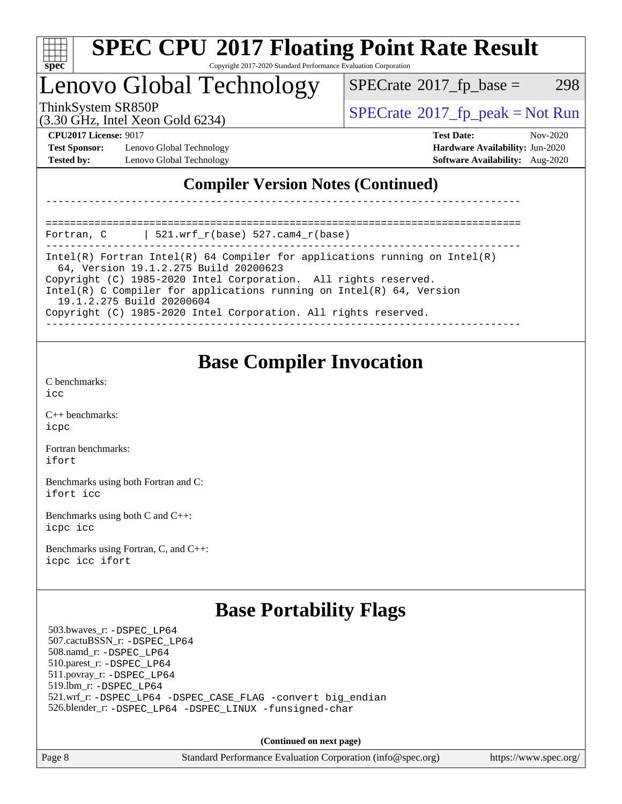

### Lenovo Global Technology

 $SPECTate@2017_fp\_base = 298$ 

(3.30 GHz, Intel Xeon Gold 6234)

 $SPECTate@2017_fp\_peak = Not Run$ 

**[Test Sponsor:](http://www.spec.org/auto/cpu2017/Docs/result-fields.html#TestSponsor)** Lenovo Global Technology **[Hardware Availability:](http://www.spec.org/auto/cpu2017/Docs/result-fields.html#HardwareAvailability)** Jun-2020 **[Tested by:](http://www.spec.org/auto/cpu2017/Docs/result-fields.html#Testedby)** Lenovo Global Technology **[Software Availability:](http://www.spec.org/auto/cpu2017/Docs/result-fields.html#SoftwareAvailability)** Aug-2020

**[CPU2017 License:](http://www.spec.org/auto/cpu2017/Docs/result-fields.html#CPU2017License)** 9017 **[Test Date:](http://www.spec.org/auto/cpu2017/Docs/result-fields.html#TestDate)** Nov-2020

### **[Compiler Version Notes \(Continued\)](http://www.spec.org/auto/cpu2017/Docs/result-fields.html#CompilerVersionNotes)**

============================================================================== Fortran, C | 521.wrf\_r(base) 527.cam4\_r(base)

------------------------------------------------------------------------------

Intel(R) Fortran Intel(R) 64 Compiler for applications running on Intel(R) 64, Version 19.1.2.275 Build 20200623

------------------------------------------------------------------------------

Copyright (C) 1985-2020 Intel Corporation. All rights reserved.

Intel(R) C Compiler for applications running on Intel(R) 64, Version 19.1.2.275 Build 20200604

Copyright (C) 1985-2020 Intel Corporation. All rights reserved. ------------------------------------------------------------------------------

### **[Base Compiler Invocation](http://www.spec.org/auto/cpu2017/Docs/result-fields.html#BaseCompilerInvocation)**

[C benchmarks](http://www.spec.org/auto/cpu2017/Docs/result-fields.html#Cbenchmarks): [icc](http://www.spec.org/cpu2017/results/res2020q4/cpu2017-20201123-24449.flags.html#user_CCbase_intel_icc_66fc1ee009f7361af1fbd72ca7dcefbb700085f36577c54f309893dd4ec40d12360134090235512931783d35fd58c0460139e722d5067c5574d8eaf2b3e37e92)

[C++ benchmarks:](http://www.spec.org/auto/cpu2017/Docs/result-fields.html#CXXbenchmarks) [icpc](http://www.spec.org/cpu2017/results/res2020q4/cpu2017-20201123-24449.flags.html#user_CXXbase_intel_icpc_c510b6838c7f56d33e37e94d029a35b4a7bccf4766a728ee175e80a419847e808290a9b78be685c44ab727ea267ec2f070ec5dc83b407c0218cded6866a35d07)

[Fortran benchmarks](http://www.spec.org/auto/cpu2017/Docs/result-fields.html#Fortranbenchmarks): [ifort](http://www.spec.org/cpu2017/results/res2020q4/cpu2017-20201123-24449.flags.html#user_FCbase_intel_ifort_8111460550e3ca792625aed983ce982f94888b8b503583aa7ba2b8303487b4d8a21a13e7191a45c5fd58ff318f48f9492884d4413fa793fd88dd292cad7027ca)

[Benchmarks using both Fortran and C](http://www.spec.org/auto/cpu2017/Docs/result-fields.html#BenchmarksusingbothFortranandC): [ifort](http://www.spec.org/cpu2017/results/res2020q4/cpu2017-20201123-24449.flags.html#user_CC_FCbase_intel_ifort_8111460550e3ca792625aed983ce982f94888b8b503583aa7ba2b8303487b4d8a21a13e7191a45c5fd58ff318f48f9492884d4413fa793fd88dd292cad7027ca) [icc](http://www.spec.org/cpu2017/results/res2020q4/cpu2017-20201123-24449.flags.html#user_CC_FCbase_intel_icc_66fc1ee009f7361af1fbd72ca7dcefbb700085f36577c54f309893dd4ec40d12360134090235512931783d35fd58c0460139e722d5067c5574d8eaf2b3e37e92)

[Benchmarks using both C and C++](http://www.spec.org/auto/cpu2017/Docs/result-fields.html#BenchmarksusingbothCandCXX): [icpc](http://www.spec.org/cpu2017/results/res2020q4/cpu2017-20201123-24449.flags.html#user_CC_CXXbase_intel_icpc_c510b6838c7f56d33e37e94d029a35b4a7bccf4766a728ee175e80a419847e808290a9b78be685c44ab727ea267ec2f070ec5dc83b407c0218cded6866a35d07) [icc](http://www.spec.org/cpu2017/results/res2020q4/cpu2017-20201123-24449.flags.html#user_CC_CXXbase_intel_icc_66fc1ee009f7361af1fbd72ca7dcefbb700085f36577c54f309893dd4ec40d12360134090235512931783d35fd58c0460139e722d5067c5574d8eaf2b3e37e92)

[Benchmarks using Fortran, C, and C++:](http://www.spec.org/auto/cpu2017/Docs/result-fields.html#BenchmarksusingFortranCandCXX) [icpc](http://www.spec.org/cpu2017/results/res2020q4/cpu2017-20201123-24449.flags.html#user_CC_CXX_FCbase_intel_icpc_c510b6838c7f56d33e37e94d029a35b4a7bccf4766a728ee175e80a419847e808290a9b78be685c44ab727ea267ec2f070ec5dc83b407c0218cded6866a35d07) [icc](http://www.spec.org/cpu2017/results/res2020q4/cpu2017-20201123-24449.flags.html#user_CC_CXX_FCbase_intel_icc_66fc1ee009f7361af1fbd72ca7dcefbb700085f36577c54f309893dd4ec40d12360134090235512931783d35fd58c0460139e722d5067c5574d8eaf2b3e37e92) [ifort](http://www.spec.org/cpu2017/results/res2020q4/cpu2017-20201123-24449.flags.html#user_CC_CXX_FCbase_intel_ifort_8111460550e3ca792625aed983ce982f94888b8b503583aa7ba2b8303487b4d8a21a13e7191a45c5fd58ff318f48f9492884d4413fa793fd88dd292cad7027ca)

### **[Base Portability Flags](http://www.spec.org/auto/cpu2017/Docs/result-fields.html#BasePortabilityFlags)**

 503.bwaves\_r: [-DSPEC\\_LP64](http://www.spec.org/cpu2017/results/res2020q4/cpu2017-20201123-24449.flags.html#suite_basePORTABILITY503_bwaves_r_DSPEC_LP64) 507.cactuBSSN\_r: [-DSPEC\\_LP64](http://www.spec.org/cpu2017/results/res2020q4/cpu2017-20201123-24449.flags.html#suite_basePORTABILITY507_cactuBSSN_r_DSPEC_LP64) 508.namd\_r: [-DSPEC\\_LP64](http://www.spec.org/cpu2017/results/res2020q4/cpu2017-20201123-24449.flags.html#suite_basePORTABILITY508_namd_r_DSPEC_LP64) 510.parest\_r: [-DSPEC\\_LP64](http://www.spec.org/cpu2017/results/res2020q4/cpu2017-20201123-24449.flags.html#suite_basePORTABILITY510_parest_r_DSPEC_LP64) 511.povray\_r: [-DSPEC\\_LP64](http://www.spec.org/cpu2017/results/res2020q4/cpu2017-20201123-24449.flags.html#suite_basePORTABILITY511_povray_r_DSPEC_LP64) 519.lbm\_r: [-DSPEC\\_LP64](http://www.spec.org/cpu2017/results/res2020q4/cpu2017-20201123-24449.flags.html#suite_basePORTABILITY519_lbm_r_DSPEC_LP64) 521.wrf\_r: [-DSPEC\\_LP64](http://www.spec.org/cpu2017/results/res2020q4/cpu2017-20201123-24449.flags.html#suite_basePORTABILITY521_wrf_r_DSPEC_LP64) [-DSPEC\\_CASE\\_FLAG](http://www.spec.org/cpu2017/results/res2020q4/cpu2017-20201123-24449.flags.html#b521.wrf_r_baseCPORTABILITY_DSPEC_CASE_FLAG) [-convert big\\_endian](http://www.spec.org/cpu2017/results/res2020q4/cpu2017-20201123-24449.flags.html#user_baseFPORTABILITY521_wrf_r_convert_big_endian_c3194028bc08c63ac5d04de18c48ce6d347e4e562e8892b8bdbdc0214820426deb8554edfa529a3fb25a586e65a3d812c835984020483e7e73212c4d31a38223) 526.blender\_r: [-DSPEC\\_LP64](http://www.spec.org/cpu2017/results/res2020q4/cpu2017-20201123-24449.flags.html#suite_basePORTABILITY526_blender_r_DSPEC_LP64) [-DSPEC\\_LINUX](http://www.spec.org/cpu2017/results/res2020q4/cpu2017-20201123-24449.flags.html#b526.blender_r_baseCPORTABILITY_DSPEC_LINUX) [-funsigned-char](http://www.spec.org/cpu2017/results/res2020q4/cpu2017-20201123-24449.flags.html#user_baseCPORTABILITY526_blender_r_force_uchar_40c60f00ab013830e2dd6774aeded3ff59883ba5a1fc5fc14077f794d777847726e2a5858cbc7672e36e1b067e7e5c1d9a74f7176df07886a243d7cc18edfe67)

**(Continued on next page)**

Page 8 Standard Performance Evaluation Corporation [\(info@spec.org\)](mailto:info@spec.org) <https://www.spec.org/>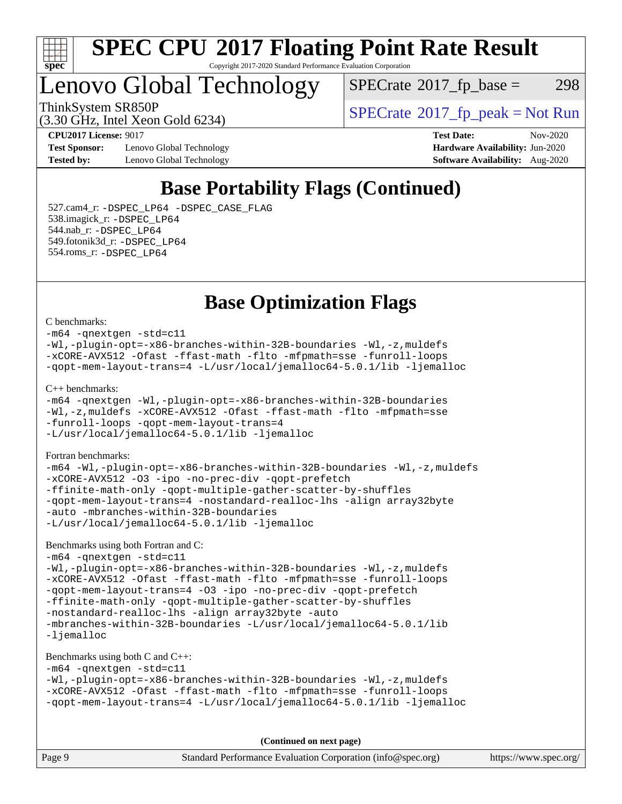

### Lenovo Global Technology

 $SPECTate@2017_fp\_base = 298$ 

ThinkSystem SR850P<br>  $SPECTI<sub>2</sub> 20 CI<sub>2</sub> Intel Yeso Gold 6234$ <br>  $SPECTI<sub>2</sub> Intel Yeso Gold 6234$ 

(3.30 GHz, Intel Xeon Gold 6234)

**[Test Sponsor:](http://www.spec.org/auto/cpu2017/Docs/result-fields.html#TestSponsor)** Lenovo Global Technology **[Hardware Availability:](http://www.spec.org/auto/cpu2017/Docs/result-fields.html#HardwareAvailability)** Jun-2020 **[Tested by:](http://www.spec.org/auto/cpu2017/Docs/result-fields.html#Testedby)** Lenovo Global Technology **[Software Availability:](http://www.spec.org/auto/cpu2017/Docs/result-fields.html#SoftwareAvailability)** Aug-2020

**[CPU2017 License:](http://www.spec.org/auto/cpu2017/Docs/result-fields.html#CPU2017License)** 9017 **[Test Date:](http://www.spec.org/auto/cpu2017/Docs/result-fields.html#TestDate)** Nov-2020

### **[Base Portability Flags \(Continued\)](http://www.spec.org/auto/cpu2017/Docs/result-fields.html#BasePortabilityFlags)**

 527.cam4\_r: [-DSPEC\\_LP64](http://www.spec.org/cpu2017/results/res2020q4/cpu2017-20201123-24449.flags.html#suite_basePORTABILITY527_cam4_r_DSPEC_LP64) [-DSPEC\\_CASE\\_FLAG](http://www.spec.org/cpu2017/results/res2020q4/cpu2017-20201123-24449.flags.html#b527.cam4_r_baseCPORTABILITY_DSPEC_CASE_FLAG) 538.imagick\_r: [-DSPEC\\_LP64](http://www.spec.org/cpu2017/results/res2020q4/cpu2017-20201123-24449.flags.html#suite_basePORTABILITY538_imagick_r_DSPEC_LP64) 544.nab\_r: [-DSPEC\\_LP64](http://www.spec.org/cpu2017/results/res2020q4/cpu2017-20201123-24449.flags.html#suite_basePORTABILITY544_nab_r_DSPEC_LP64) 549.fotonik3d\_r: [-DSPEC\\_LP64](http://www.spec.org/cpu2017/results/res2020q4/cpu2017-20201123-24449.flags.html#suite_basePORTABILITY549_fotonik3d_r_DSPEC_LP64) 554.roms\_r: [-DSPEC\\_LP64](http://www.spec.org/cpu2017/results/res2020q4/cpu2017-20201123-24449.flags.html#suite_basePORTABILITY554_roms_r_DSPEC_LP64)

### **[Base Optimization Flags](http://www.spec.org/auto/cpu2017/Docs/result-fields.html#BaseOptimizationFlags)**

#### [C benchmarks](http://www.spec.org/auto/cpu2017/Docs/result-fields.html#Cbenchmarks):

[-m64](http://www.spec.org/cpu2017/results/res2020q4/cpu2017-20201123-24449.flags.html#user_CCbase_m64-icc) [-qnextgen](http://www.spec.org/cpu2017/results/res2020q4/cpu2017-20201123-24449.flags.html#user_CCbase_f-qnextgen) [-std=c11](http://www.spec.org/cpu2017/results/res2020q4/cpu2017-20201123-24449.flags.html#user_CCbase_std-icc-std_0e1c27790398a4642dfca32ffe6c27b5796f9c2d2676156f2e42c9c44eaad0c049b1cdb667a270c34d979996257aeb8fc440bfb01818dbc9357bd9d174cb8524) [-Wl,-plugin-opt=-x86-branches-within-32B-boundaries](http://www.spec.org/cpu2017/results/res2020q4/cpu2017-20201123-24449.flags.html#user_CCbase_f-x86-branches-within-32B-boundaries_0098b4e4317ae60947b7b728078a624952a08ac37a3c797dfb4ffeb399e0c61a9dd0f2f44ce917e9361fb9076ccb15e7824594512dd315205382d84209e912f3) [-Wl,-z,muldefs](http://www.spec.org/cpu2017/results/res2020q4/cpu2017-20201123-24449.flags.html#user_CCbase_link_force_multiple1_b4cbdb97b34bdee9ceefcfe54f4c8ea74255f0b02a4b23e853cdb0e18eb4525ac79b5a88067c842dd0ee6996c24547a27a4b99331201badda8798ef8a743f577) [-xCORE-AVX512](http://www.spec.org/cpu2017/results/res2020q4/cpu2017-20201123-24449.flags.html#user_CCbase_f-xCORE-AVX512) [-Ofast](http://www.spec.org/cpu2017/results/res2020q4/cpu2017-20201123-24449.flags.html#user_CCbase_f-Ofast) [-ffast-math](http://www.spec.org/cpu2017/results/res2020q4/cpu2017-20201123-24449.flags.html#user_CCbase_f-ffast-math) [-flto](http://www.spec.org/cpu2017/results/res2020q4/cpu2017-20201123-24449.flags.html#user_CCbase_f-flto) [-mfpmath=sse](http://www.spec.org/cpu2017/results/res2020q4/cpu2017-20201123-24449.flags.html#user_CCbase_f-mfpmath_70eb8fac26bde974f8ab713bc9086c5621c0b8d2f6c86f38af0bd7062540daf19db5f3a066d8c6684be05d84c9b6322eb3b5be6619d967835195b93d6c02afa1) [-funroll-loops](http://www.spec.org/cpu2017/results/res2020q4/cpu2017-20201123-24449.flags.html#user_CCbase_f-funroll-loops) [-qopt-mem-layout-trans=4](http://www.spec.org/cpu2017/results/res2020q4/cpu2017-20201123-24449.flags.html#user_CCbase_f-qopt-mem-layout-trans_fa39e755916c150a61361b7846f310bcdf6f04e385ef281cadf3647acec3f0ae266d1a1d22d972a7087a248fd4e6ca390a3634700869573d231a252c784941a8) [-L/usr/local/jemalloc64-5.0.1/lib](http://www.spec.org/cpu2017/results/res2020q4/cpu2017-20201123-24449.flags.html#user_CCbase_jemalloc_link_path64_1_cc289568b1a6c0fd3b62c91b824c27fcb5af5e8098e6ad028160d21144ef1b8aef3170d2acf0bee98a8da324cfe4f67d0a3d0c4cc4673d993d694dc2a0df248b) [-ljemalloc](http://www.spec.org/cpu2017/results/res2020q4/cpu2017-20201123-24449.flags.html#user_CCbase_jemalloc_link_lib_d1249b907c500fa1c0672f44f562e3d0f79738ae9e3c4a9c376d49f265a04b9c99b167ecedbf6711b3085be911c67ff61f150a17b3472be731631ba4d0471706) [C++ benchmarks:](http://www.spec.org/auto/cpu2017/Docs/result-fields.html#CXXbenchmarks) [-m64](http://www.spec.org/cpu2017/results/res2020q4/cpu2017-20201123-24449.flags.html#user_CXXbase_m64-icc) [-qnextgen](http://www.spec.org/cpu2017/results/res2020q4/cpu2017-20201123-24449.flags.html#user_CXXbase_f-qnextgen) [-Wl,-plugin-opt=-x86-branches-within-32B-boundaries](http://www.spec.org/cpu2017/results/res2020q4/cpu2017-20201123-24449.flags.html#user_CXXbase_f-x86-branches-within-32B-boundaries_0098b4e4317ae60947b7b728078a624952a08ac37a3c797dfb4ffeb399e0c61a9dd0f2f44ce917e9361fb9076ccb15e7824594512dd315205382d84209e912f3) [-Wl,-z,muldefs](http://www.spec.org/cpu2017/results/res2020q4/cpu2017-20201123-24449.flags.html#user_CXXbase_link_force_multiple1_b4cbdb97b34bdee9ceefcfe54f4c8ea74255f0b02a4b23e853cdb0e18eb4525ac79b5a88067c842dd0ee6996c24547a27a4b99331201badda8798ef8a743f577) [-xCORE-AVX512](http://www.spec.org/cpu2017/results/res2020q4/cpu2017-20201123-24449.flags.html#user_CXXbase_f-xCORE-AVX512) [-Ofast](http://www.spec.org/cpu2017/results/res2020q4/cpu2017-20201123-24449.flags.html#user_CXXbase_f-Ofast) [-ffast-math](http://www.spec.org/cpu2017/results/res2020q4/cpu2017-20201123-24449.flags.html#user_CXXbase_f-ffast-math) [-flto](http://www.spec.org/cpu2017/results/res2020q4/cpu2017-20201123-24449.flags.html#user_CXXbase_f-flto) [-mfpmath=sse](http://www.spec.org/cpu2017/results/res2020q4/cpu2017-20201123-24449.flags.html#user_CXXbase_f-mfpmath_70eb8fac26bde974f8ab713bc9086c5621c0b8d2f6c86f38af0bd7062540daf19db5f3a066d8c6684be05d84c9b6322eb3b5be6619d967835195b93d6c02afa1) [-funroll-loops](http://www.spec.org/cpu2017/results/res2020q4/cpu2017-20201123-24449.flags.html#user_CXXbase_f-funroll-loops) [-qopt-mem-layout-trans=4](http://www.spec.org/cpu2017/results/res2020q4/cpu2017-20201123-24449.flags.html#user_CXXbase_f-qopt-mem-layout-trans_fa39e755916c150a61361b7846f310bcdf6f04e385ef281cadf3647acec3f0ae266d1a1d22d972a7087a248fd4e6ca390a3634700869573d231a252c784941a8) [-L/usr/local/jemalloc64-5.0.1/lib](http://www.spec.org/cpu2017/results/res2020q4/cpu2017-20201123-24449.flags.html#user_CXXbase_jemalloc_link_path64_1_cc289568b1a6c0fd3b62c91b824c27fcb5af5e8098e6ad028160d21144ef1b8aef3170d2acf0bee98a8da324cfe4f67d0a3d0c4cc4673d993d694dc2a0df248b) [-ljemalloc](http://www.spec.org/cpu2017/results/res2020q4/cpu2017-20201123-24449.flags.html#user_CXXbase_jemalloc_link_lib_d1249b907c500fa1c0672f44f562e3d0f79738ae9e3c4a9c376d49f265a04b9c99b167ecedbf6711b3085be911c67ff61f150a17b3472be731631ba4d0471706) [Fortran benchmarks](http://www.spec.org/auto/cpu2017/Docs/result-fields.html#Fortranbenchmarks): [-m64](http://www.spec.org/cpu2017/results/res2020q4/cpu2017-20201123-24449.flags.html#user_FCbase_m64-icc) [-Wl,-plugin-opt=-x86-branches-within-32B-boundaries](http://www.spec.org/cpu2017/results/res2020q4/cpu2017-20201123-24449.flags.html#user_FCbase_f-x86-branches-within-32B-boundaries_0098b4e4317ae60947b7b728078a624952a08ac37a3c797dfb4ffeb399e0c61a9dd0f2f44ce917e9361fb9076ccb15e7824594512dd315205382d84209e912f3) [-Wl,-z,muldefs](http://www.spec.org/cpu2017/results/res2020q4/cpu2017-20201123-24449.flags.html#user_FCbase_link_force_multiple1_b4cbdb97b34bdee9ceefcfe54f4c8ea74255f0b02a4b23e853cdb0e18eb4525ac79b5a88067c842dd0ee6996c24547a27a4b99331201badda8798ef8a743f577) [-xCORE-AVX512](http://www.spec.org/cpu2017/results/res2020q4/cpu2017-20201123-24449.flags.html#user_FCbase_f-xCORE-AVX512) [-O3](http://www.spec.org/cpu2017/results/res2020q4/cpu2017-20201123-24449.flags.html#user_FCbase_f-O3) [-ipo](http://www.spec.org/cpu2017/results/res2020q4/cpu2017-20201123-24449.flags.html#user_FCbase_f-ipo) [-no-prec-div](http://www.spec.org/cpu2017/results/res2020q4/cpu2017-20201123-24449.flags.html#user_FCbase_f-no-prec-div) [-qopt-prefetch](http://www.spec.org/cpu2017/results/res2020q4/cpu2017-20201123-24449.flags.html#user_FCbase_f-qopt-prefetch) [-ffinite-math-only](http://www.spec.org/cpu2017/results/res2020q4/cpu2017-20201123-24449.flags.html#user_FCbase_f_finite_math_only_cb91587bd2077682c4b38af759c288ed7c732db004271a9512da14a4f8007909a5f1427ecbf1a0fb78ff2a814402c6114ac565ca162485bbcae155b5e4258871) [-qopt-multiple-gather-scatter-by-shuffles](http://www.spec.org/cpu2017/results/res2020q4/cpu2017-20201123-24449.flags.html#user_FCbase_f-qopt-multiple-gather-scatter-by-shuffles) [-qopt-mem-layout-trans=4](http://www.spec.org/cpu2017/results/res2020q4/cpu2017-20201123-24449.flags.html#user_FCbase_f-qopt-mem-layout-trans_fa39e755916c150a61361b7846f310bcdf6f04e385ef281cadf3647acec3f0ae266d1a1d22d972a7087a248fd4e6ca390a3634700869573d231a252c784941a8) [-nostandard-realloc-lhs](http://www.spec.org/cpu2017/results/res2020q4/cpu2017-20201123-24449.flags.html#user_FCbase_f_2003_std_realloc_82b4557e90729c0f113870c07e44d33d6f5a304b4f63d4c15d2d0f1fab99f5daaed73bdb9275d9ae411527f28b936061aa8b9c8f2d63842963b95c9dd6426b8a) [-align array32byte](http://www.spec.org/cpu2017/results/res2020q4/cpu2017-20201123-24449.flags.html#user_FCbase_align_array32byte_b982fe038af199962ba9a80c053b8342c548c85b40b8e86eb3cc33dee0d7986a4af373ac2d51c3f7cf710a18d62fdce2948f201cd044323541f22fc0fffc51b6) [-auto](http://www.spec.org/cpu2017/results/res2020q4/cpu2017-20201123-24449.flags.html#user_FCbase_f-auto) [-mbranches-within-32B-boundaries](http://www.spec.org/cpu2017/results/res2020q4/cpu2017-20201123-24449.flags.html#user_FCbase_f-mbranches-within-32B-boundaries) [-L/usr/local/jemalloc64-5.0.1/lib](http://www.spec.org/cpu2017/results/res2020q4/cpu2017-20201123-24449.flags.html#user_FCbase_jemalloc_link_path64_1_cc289568b1a6c0fd3b62c91b824c27fcb5af5e8098e6ad028160d21144ef1b8aef3170d2acf0bee98a8da324cfe4f67d0a3d0c4cc4673d993d694dc2a0df248b) [-ljemalloc](http://www.spec.org/cpu2017/results/res2020q4/cpu2017-20201123-24449.flags.html#user_FCbase_jemalloc_link_lib_d1249b907c500fa1c0672f44f562e3d0f79738ae9e3c4a9c376d49f265a04b9c99b167ecedbf6711b3085be911c67ff61f150a17b3472be731631ba4d0471706)

[Benchmarks using both Fortran and C](http://www.spec.org/auto/cpu2017/Docs/result-fields.html#BenchmarksusingbothFortranandC):

[-m64](http://www.spec.org/cpu2017/results/res2020q4/cpu2017-20201123-24449.flags.html#user_CC_FCbase_m64-icc) [-qnextgen](http://www.spec.org/cpu2017/results/res2020q4/cpu2017-20201123-24449.flags.html#user_CC_FCbase_f-qnextgen) [-std=c11](http://www.spec.org/cpu2017/results/res2020q4/cpu2017-20201123-24449.flags.html#user_CC_FCbase_std-icc-std_0e1c27790398a4642dfca32ffe6c27b5796f9c2d2676156f2e42c9c44eaad0c049b1cdb667a270c34d979996257aeb8fc440bfb01818dbc9357bd9d174cb8524) [-Wl,-plugin-opt=-x86-branches-within-32B-boundaries](http://www.spec.org/cpu2017/results/res2020q4/cpu2017-20201123-24449.flags.html#user_CC_FCbase_f-x86-branches-within-32B-boundaries_0098b4e4317ae60947b7b728078a624952a08ac37a3c797dfb4ffeb399e0c61a9dd0f2f44ce917e9361fb9076ccb15e7824594512dd315205382d84209e912f3) [-Wl,-z,muldefs](http://www.spec.org/cpu2017/results/res2020q4/cpu2017-20201123-24449.flags.html#user_CC_FCbase_link_force_multiple1_b4cbdb97b34bdee9ceefcfe54f4c8ea74255f0b02a4b23e853cdb0e18eb4525ac79b5a88067c842dd0ee6996c24547a27a4b99331201badda8798ef8a743f577) [-xCORE-AVX512](http://www.spec.org/cpu2017/results/res2020q4/cpu2017-20201123-24449.flags.html#user_CC_FCbase_f-xCORE-AVX512) [-Ofast](http://www.spec.org/cpu2017/results/res2020q4/cpu2017-20201123-24449.flags.html#user_CC_FCbase_f-Ofast) [-ffast-math](http://www.spec.org/cpu2017/results/res2020q4/cpu2017-20201123-24449.flags.html#user_CC_FCbase_f-ffast-math) [-flto](http://www.spec.org/cpu2017/results/res2020q4/cpu2017-20201123-24449.flags.html#user_CC_FCbase_f-flto) [-mfpmath=sse](http://www.spec.org/cpu2017/results/res2020q4/cpu2017-20201123-24449.flags.html#user_CC_FCbase_f-mfpmath_70eb8fac26bde974f8ab713bc9086c5621c0b8d2f6c86f38af0bd7062540daf19db5f3a066d8c6684be05d84c9b6322eb3b5be6619d967835195b93d6c02afa1) [-funroll-loops](http://www.spec.org/cpu2017/results/res2020q4/cpu2017-20201123-24449.flags.html#user_CC_FCbase_f-funroll-loops) [-qopt-mem-layout-trans=4](http://www.spec.org/cpu2017/results/res2020q4/cpu2017-20201123-24449.flags.html#user_CC_FCbase_f-qopt-mem-layout-trans_fa39e755916c150a61361b7846f310bcdf6f04e385ef281cadf3647acec3f0ae266d1a1d22d972a7087a248fd4e6ca390a3634700869573d231a252c784941a8) [-O3](http://www.spec.org/cpu2017/results/res2020q4/cpu2017-20201123-24449.flags.html#user_CC_FCbase_f-O3) [-ipo](http://www.spec.org/cpu2017/results/res2020q4/cpu2017-20201123-24449.flags.html#user_CC_FCbase_f-ipo) [-no-prec-div](http://www.spec.org/cpu2017/results/res2020q4/cpu2017-20201123-24449.flags.html#user_CC_FCbase_f-no-prec-div) [-qopt-prefetch](http://www.spec.org/cpu2017/results/res2020q4/cpu2017-20201123-24449.flags.html#user_CC_FCbase_f-qopt-prefetch) [-ffinite-math-only](http://www.spec.org/cpu2017/results/res2020q4/cpu2017-20201123-24449.flags.html#user_CC_FCbase_f_finite_math_only_cb91587bd2077682c4b38af759c288ed7c732db004271a9512da14a4f8007909a5f1427ecbf1a0fb78ff2a814402c6114ac565ca162485bbcae155b5e4258871) [-qopt-multiple-gather-scatter-by-shuffles](http://www.spec.org/cpu2017/results/res2020q4/cpu2017-20201123-24449.flags.html#user_CC_FCbase_f-qopt-multiple-gather-scatter-by-shuffles) [-nostandard-realloc-lhs](http://www.spec.org/cpu2017/results/res2020q4/cpu2017-20201123-24449.flags.html#user_CC_FCbase_f_2003_std_realloc_82b4557e90729c0f113870c07e44d33d6f5a304b4f63d4c15d2d0f1fab99f5daaed73bdb9275d9ae411527f28b936061aa8b9c8f2d63842963b95c9dd6426b8a) [-align array32byte](http://www.spec.org/cpu2017/results/res2020q4/cpu2017-20201123-24449.flags.html#user_CC_FCbase_align_array32byte_b982fe038af199962ba9a80c053b8342c548c85b40b8e86eb3cc33dee0d7986a4af373ac2d51c3f7cf710a18d62fdce2948f201cd044323541f22fc0fffc51b6) [-auto](http://www.spec.org/cpu2017/results/res2020q4/cpu2017-20201123-24449.flags.html#user_CC_FCbase_f-auto) [-mbranches-within-32B-boundaries](http://www.spec.org/cpu2017/results/res2020q4/cpu2017-20201123-24449.flags.html#user_CC_FCbase_f-mbranches-within-32B-boundaries) [-L/usr/local/jemalloc64-5.0.1/lib](http://www.spec.org/cpu2017/results/res2020q4/cpu2017-20201123-24449.flags.html#user_CC_FCbase_jemalloc_link_path64_1_cc289568b1a6c0fd3b62c91b824c27fcb5af5e8098e6ad028160d21144ef1b8aef3170d2acf0bee98a8da324cfe4f67d0a3d0c4cc4673d993d694dc2a0df248b) [-ljemalloc](http://www.spec.org/cpu2017/results/res2020q4/cpu2017-20201123-24449.flags.html#user_CC_FCbase_jemalloc_link_lib_d1249b907c500fa1c0672f44f562e3d0f79738ae9e3c4a9c376d49f265a04b9c99b167ecedbf6711b3085be911c67ff61f150a17b3472be731631ba4d0471706)

#### [Benchmarks using both C and C++](http://www.spec.org/auto/cpu2017/Docs/result-fields.html#BenchmarksusingbothCandCXX):

```
-m64 -qnextgen -std=c11
-Wl,-plugin-opt=-x86-branches-within-32B-boundaries -Wl,-z,muldefs
-xCORE-AVX512 -Ofast -ffast-math -flto -mfpmath=sse -funroll-loops
-qopt-mem-layout-trans=4 -L/usr/local/jemalloc64-5.0.1/lib -ljemalloc
```
**(Continued on next page)**